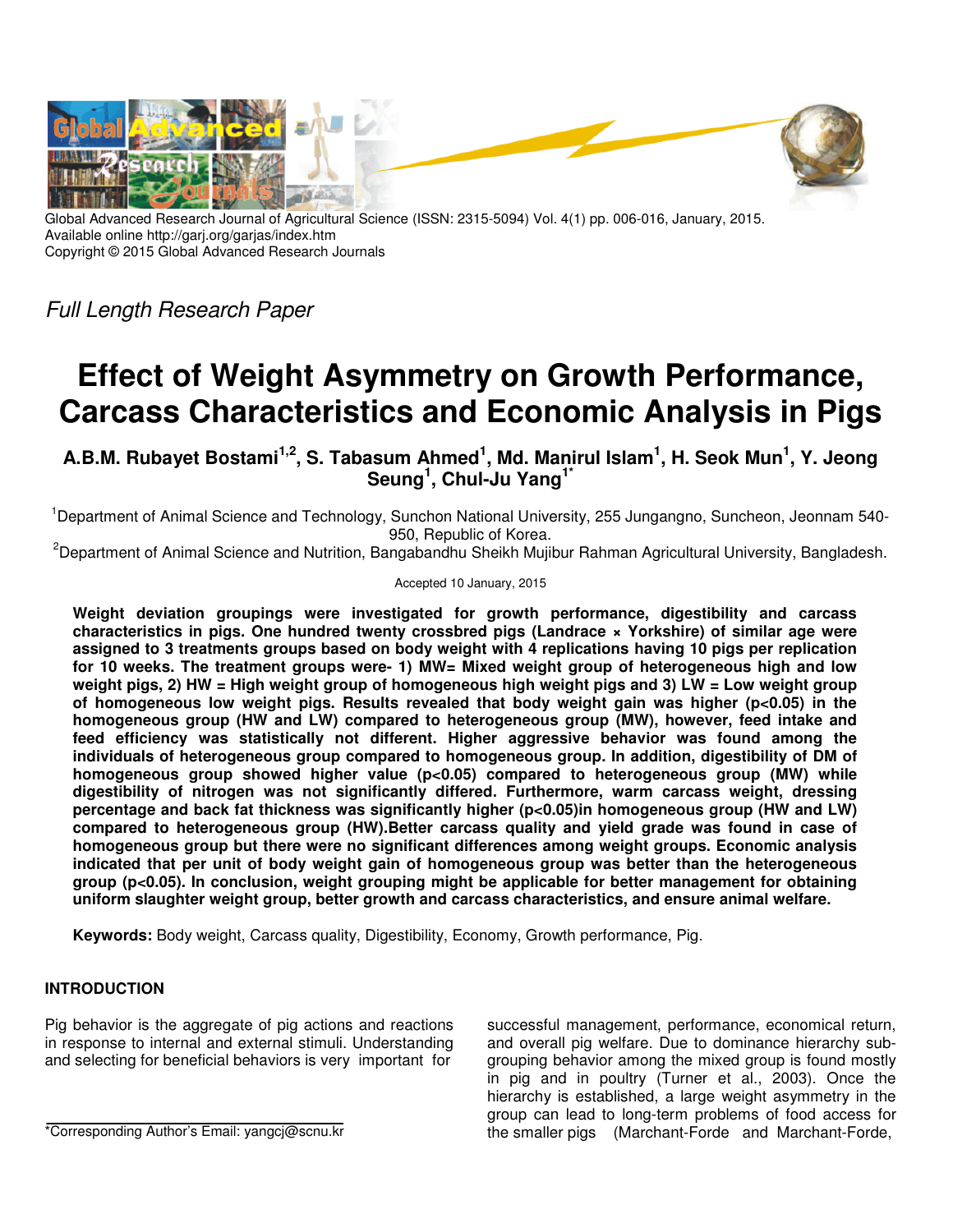

Global Advanced Research Journal of Agricultural Science (ISSN: 2315-5094) Vol. 4(1) pp. 006-016, January, 2015. Available online http://garj.org/garjas/index.htm Copyright © 2015 Global Advanced Research Journals

Full Length Research Paper

# **Effect of Weight Asymmetry on Growth Performance, Carcass Characteristics and Economic Analysis in Pigs**

**A.B.M. Rubayet Bostami1,2, S. Tabasum Ahmed<sup>1</sup> , Md. Manirul Islam<sup>1</sup> , H. Seok Mun<sup>1</sup> , Y. Jeong Seung<sup>1</sup> , Chul-Ju Yang1\***

<sup>1</sup>Department of Animal Science and Technology, Sunchon National University, 255 Jungangno, Suncheon, Jeonnam 540-950, Republic of Korea.

<sup>2</sup>Department of Animal Science and Nutrition, Bangabandhu Sheikh Mujibur Rahman Agricultural University, Bangladesh.

#### Accepted 10 January, 2015

**Weight deviation groupings were investigated for growth performance, digestibility and carcass characteristics in pigs. One hundred twenty crossbred pigs (Landrace × Yorkshire) of similar age were assigned to 3 treatments groups based on body weight with 4 replications having 10 pigs per replication for 10 weeks. The treatment groups were- 1) MW= Mixed weight group of heterogeneous high and low weight pigs, 2) HW = High weight group of homogeneous high weight pigs and 3) LW = Low weight group of homogeneous low weight pigs. Results revealed that body weight gain was higher (p<0.05) in the homogeneous group (HW and LW) compared to heterogeneous group (MW), however, feed intake and feed efficiency was statistically not different. Higher aggressive behavior was found among the individuals of heterogeneous group compared to homogeneous group. In addition, digestibility of DM of**  homogeneous group showed higher value (p<0.05) compared to heterogeneous group (MW) while **digestibility of nitrogen was not significantly differed. Furthermore, warm carcass weight, dressing percentage and back fat thickness was significantly higher (p<0.05)in homogeneous group (HW and LW) compared to heterogeneous group (HW).Better carcass quality and yield grade was found in case of homogeneous group but there were no significant differences among weight groups. Economic analysis indicated that per unit of body weight gain of homogeneous group was better than the heterogeneous group (p<0.05). In conclusion, weight grouping might be applicable for better management for obtaining uniform slaughter weight group, better growth and carcass characteristics, and ensure animal welfare.** 

**Keywords:** Body weight, Carcass quality, Digestibility, Economy, Growth performance, Pig.

# **INTRODUCTION**

Pig behavior is the aggregate of pig actions and reactions in response to internal and external stimuli. Understanding and selecting for beneficial behaviors is very important for

\*Corresponding Author's Email: yangcj@scnu.kr

successful management, performance, economical return, and overall pig welfare. Due to dominance hierarchy subgrouping behavior among the mixed group is found mostly in pig and in poultry (Turner et al., 2003). Once the hierarchy is established, a large weight asymmetry in the group can lead to long-term problems of food access for the smaller pigs (Marchant-Forde and Marchant-Forde,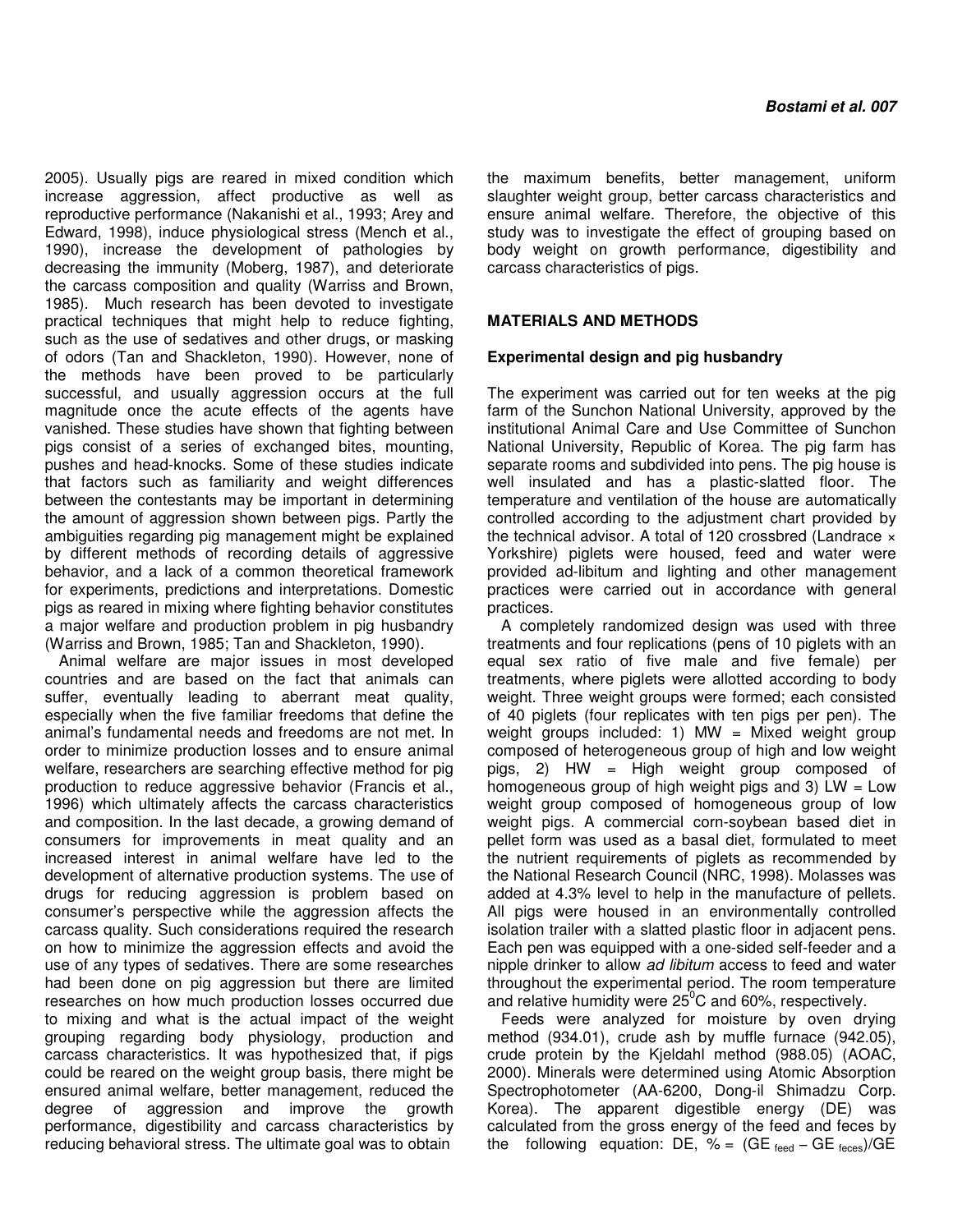2005). Usually pigs are reared in mixed condition which increase aggression, affect productive as well as reproductive performance (Nakanishi et al., 1993; Arey and Edward, 1998), induce physiological stress (Mench et al., 1990), increase the development of pathologies by decreasing the immunity (Moberg, 1987), and deteriorate the carcass composition and quality (Warriss and Brown, 1985). Much research has been devoted to investigate practical techniques that might help to reduce fighting, such as the use of sedatives and other drugs, or masking of odors (Tan and Shackleton, 1990). However, none of the methods have been proved to be particularly successful, and usually aggression occurs at the full magnitude once the acute effects of the agents have vanished. These studies have shown that fighting between pigs consist of a series of exchanged bites, mounting, pushes and head-knocks. Some of these studies indicate that factors such as familiarity and weight differences between the contestants may be important in determining the amount of aggression shown between pigs. Partly the ambiguities regarding pig management might be explained by different methods of recording details of aggressive behavior, and a lack of a common theoretical framework for experiments, predictions and interpretations. Domestic pigs as reared in mixing where fighting behavior constitutes a major welfare and production problem in pig husbandry (Warriss and Brown, 1985; Tan and Shackleton, 1990).

Animal welfare are major issues in most developed countries and are based on the fact that animals can suffer, eventually leading to aberrant meat quality, especially when the five familiar freedoms that define the animal's fundamental needs and freedoms are not met. In order to minimize production losses and to ensure animal welfare, researchers are searching effective method for pig production to reduce aggressive behavior (Francis et al., 1996) which ultimately affects the carcass characteristics and composition. In the last decade, a growing demand of consumers for improvements in meat quality and an increased interest in animal welfare have led to the development of alternative production systems. The use of drugs for reducing aggression is problem based on consumer's perspective while the aggression affects the carcass quality. Such considerations required the research on how to minimize the aggression effects and avoid the use of any types of sedatives. There are some researches had been done on pig aggression but there are limited researches on how much production losses occurred due to mixing and what is the actual impact of the weight grouping regarding body physiology, production and carcass characteristics. It was hypothesized that, if pigs could be reared on the weight group basis, there might be ensured animal welfare, better management, reduced the degree of aggression and improve the growth performance, digestibility and carcass characteristics by reducing behavioral stress. The ultimate goal was to obtain

the maximum benefits, better management, uniform slaughter weight group, better carcass characteristics and ensure animal welfare. Therefore, the objective of this study was to investigate the effect of grouping based on body weight on growth performance, digestibility and carcass characteristics of pigs.

## **MATERIALS AND METHODS**

#### **Experimental design and pig husbandry**

The experiment was carried out for ten weeks at the pig farm of the Sunchon National University, approved by the institutional Animal Care and Use Committee of Sunchon National University, Republic of Korea. The pig farm has separate rooms and subdivided into pens. The pig house is well insulated and has a plastic-slatted floor. The temperature and ventilation of the house are automatically controlled according to the adjustment chart provided by the technical advisor. A total of 120 crossbred (Landrace  $\times$ Yorkshire) piglets were housed, feed and water were provided ad-libitum and lighting and other management practices were carried out in accordance with general practices.

A completely randomized design was used with three treatments and four replications (pens of 10 piglets with an equal sex ratio of five male and five female) per treatments, where piglets were allotted according to body weight. Three weight groups were formed; each consisted of 40 piglets (four replicates with ten pigs per pen). The weight groups included: 1) MW = Mixed weight group composed of heterogeneous group of high and low weight pigs, 2) HW = High weight group composed of homogeneous group of high weight pigs and 3)  $LW = Low$ weight group composed of homogeneous group of low weight pigs. A commercial corn-soybean based diet in pellet form was used as a basal diet, formulated to meet the nutrient requirements of piglets as recommended by the National Research Council (NRC, 1998). Molasses was added at 4.3% level to help in the manufacture of pellets. All pigs were housed in an environmentally controlled isolation trailer with a slatted plastic floor in adjacent pens. Each pen was equipped with a one-sided self-feeder and a nipple drinker to allow ad libitum access to feed and water throughout the experimental period. The room temperature and relative humidity were  $25^{\circ}$ C and 60%, respectively.

Feeds were analyzed for moisture by oven drying method (934.01), crude ash by muffle furnace (942.05), crude protein by the Kjeldahl method (988.05) (AOAC, 2000). Minerals were determined using Atomic Absorption Spectrophotometer (AA-6200, Dong-il Shimadzu Corp. Korea). The apparent digestible energy (DE) was calculated from the gross energy of the feed and feces by the following equation: DE, % =  $(GE_{\text{feed}} - GE_{\text{feces}})/GE$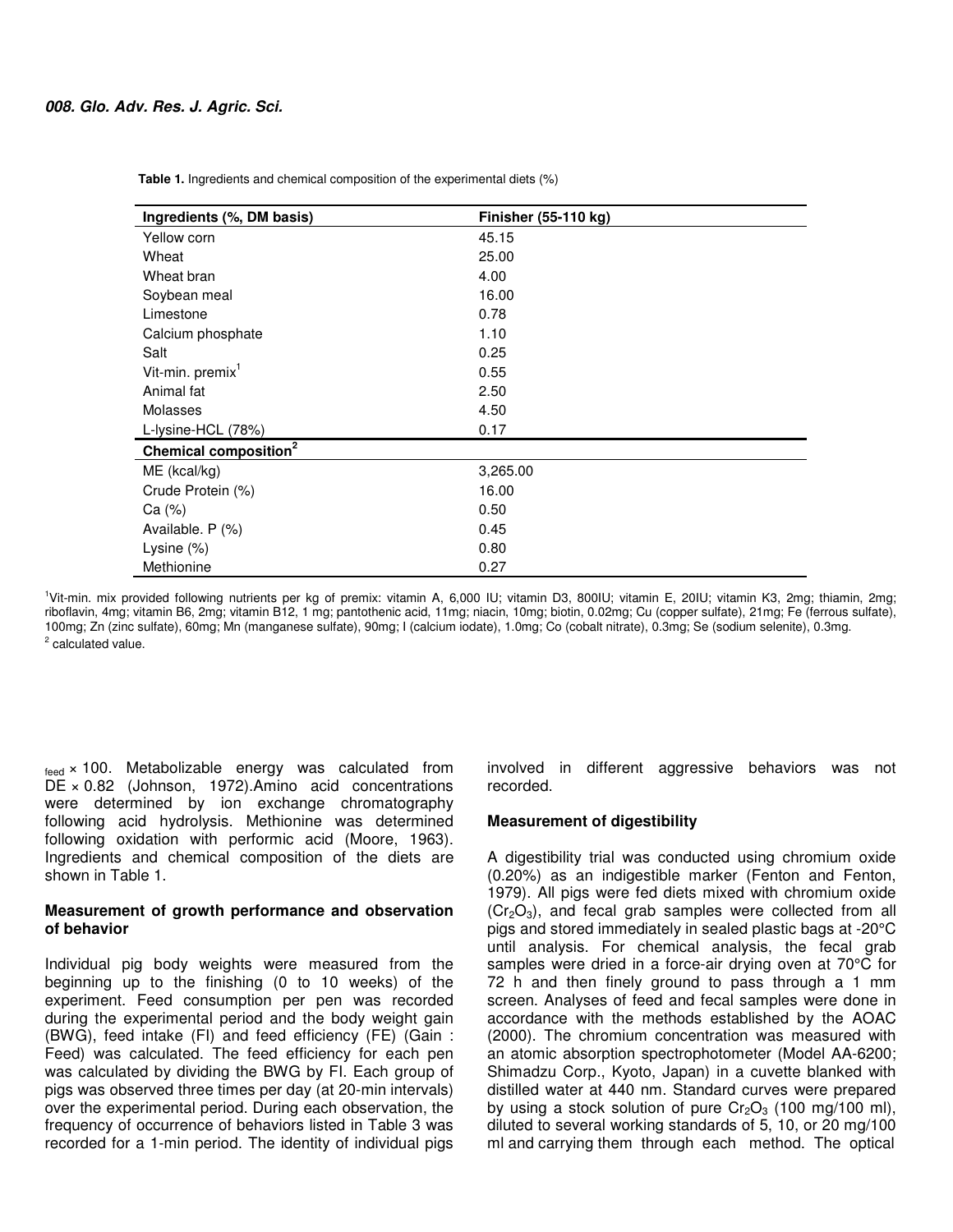| Ingredients (%, DM basis)         | Finisher (55-110 kg) |
|-----------------------------------|----------------------|
| Yellow corn                       | 45.15                |
| Wheat                             | 25.00                |
| Wheat bran                        | 4.00                 |
| Soybean meal                      | 16.00                |
| Limestone                         | 0.78                 |
| Calcium phosphate                 | 1.10                 |
| Salt                              | 0.25                 |
| Vit-min. premix <sup>1</sup>      | 0.55                 |
| Animal fat                        | 2.50                 |
| Molasses                          | 4.50                 |
| L-lysine-HCL (78%)                | 0.17                 |
| Chemical composition <sup>2</sup> |                      |
| ME (kcal/kg)                      | 3,265.00             |
| Crude Protein (%)                 | 16.00                |
| Ca (%)                            | 0.50                 |
| Available. P (%)                  | 0.45                 |
| Lysine (%)                        | 0.80                 |
| Methionine                        | 0.27                 |

 **Table 1.** Ingredients and chemical composition of the experimental diets (%)

<sup>1</sup>Vit-min. mix provided following nutrients per kg of premix: vitamin A, 6,000 IU; vitamin D3, 800IU; vitamin E, 20IU; vitamin K3, 2mg; thiamin, 2mg; riboflavin, 4mg; vitamin B6, 2mg; vitamin B12, 1 mg; pantothenic acid, 11mg; niacin, 10mg; biotin, 0.02mg; Cu (copper sulfate), 21mg; Fe (ferrous sulfate), 100mg; Zn (zinc sulfate), 60mg; Mn (manganese sulfate), 90mg; I (calcium iodate), 1.0mg; Co (cobalt nitrate), 0.3mg; Se (sodium selenite), 0.3mg. <sup>2</sup> calculated value.

 $_{\text{feed}}$  × 100. Metabolizable energy was calculated from DE × 0.82 (Johnson, 1972).Amino acid concentrations were determined by ion exchange chromatography following acid hydrolysis. Methionine was determined following oxidation with performic acid (Moore, 1963). Ingredients and chemical composition of the diets are shown in Table 1.

#### **Measurement of growth performance and observation of behavior**

Individual pig body weights were measured from the beginning up to the finishing (0 to 10 weeks) of the experiment. Feed consumption per pen was recorded during the experimental period and the body weight gain (BWG), feed intake (FI) and feed efficiency (FE) (Gain : Feed) was calculated. The feed efficiency for each pen was calculated by dividing the BWG by FI. Each group of pigs was observed three times per day (at 20-min intervals) over the experimental period. During each observation, the frequency of occurrence of behaviors listed in Table 3 was recorded for a 1-min period. The identity of individual pigs

involved in different aggressive behaviors was not recorded.

#### **Measurement of digestibility**

A digestibility trial was conducted using chromium oxide (0.20%) as an indigestible marker (Fenton and Fenton, 1979). All pigs were fed diets mixed with chromium oxide  $(Cr<sub>2</sub>O<sub>3</sub>)$ , and fecal grab samples were collected from all pigs and stored immediately in sealed plastic bags at -20°C until analysis. For chemical analysis, the fecal grab samples were dried in a force-air drying oven at 70°C for 72 h and then finely ground to pass through a 1 mm screen. Analyses of feed and fecal samples were done in accordance with the methods established by the AOAC (2000). The chromium concentration was measured with an atomic absorption spectrophotometer (Model AA-6200; Shimadzu Corp., Kyoto, Japan) in a cuvette blanked with distilled water at 440 nm. Standard curves were prepared by using a stock solution of pure  $Cr_2O_3$  (100 mg/100 ml), diluted to several working standards of 5, 10, or 20 mg/100 ml and carrying them through each method. The optical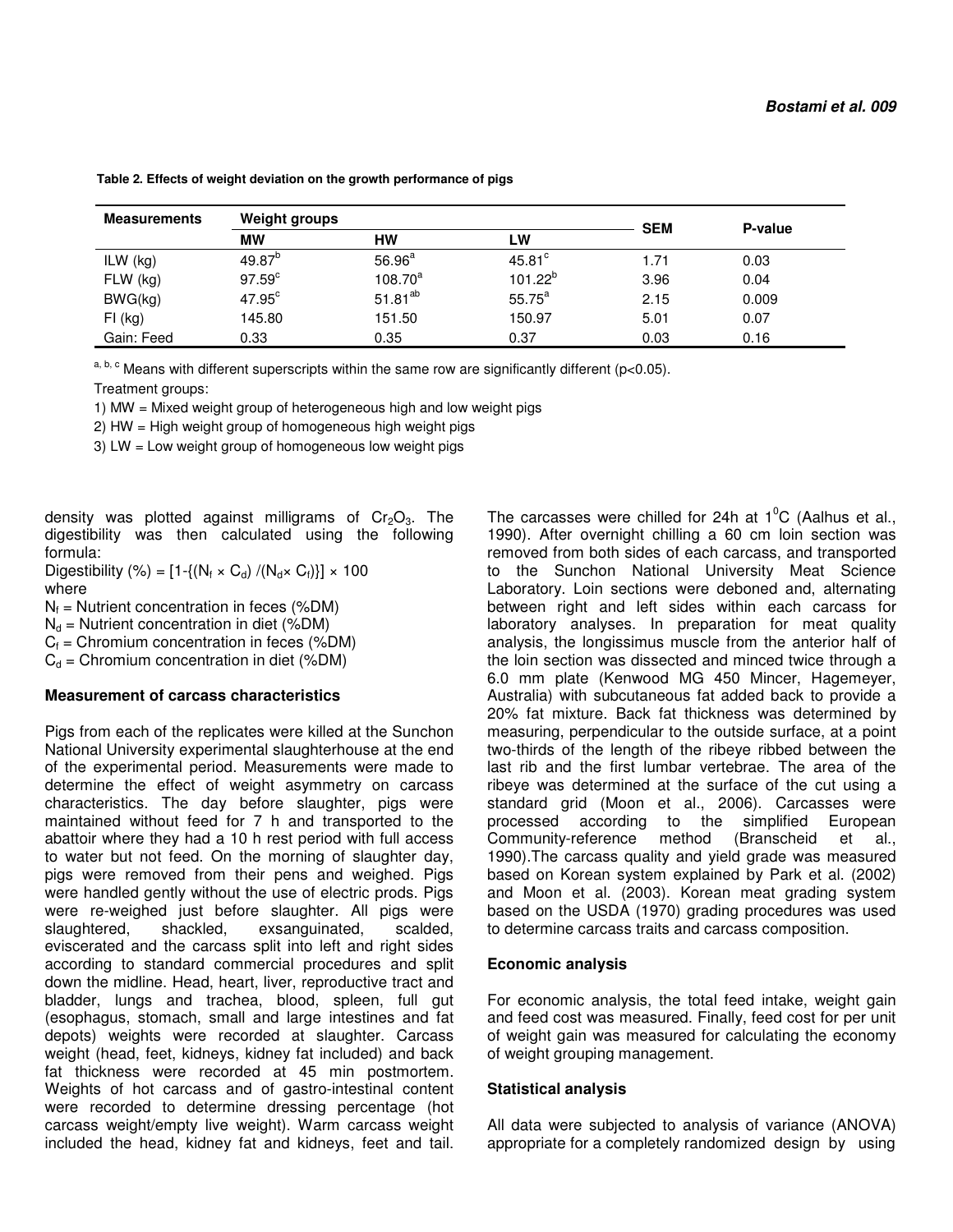| <b>Measurements</b> | <b>Weight groups</b> |                    | <b>SEM</b>      | P-value |       |  |
|---------------------|----------------------|--------------------|-----------------|---------|-------|--|
|                     | <b>MW</b>            | HW                 | LW              |         |       |  |
| ILW $(kg)$          | $49.87^{b}$          | 56.96 <sup>a</sup> | $45.81^{\circ}$ | 1.71    | 0.03  |  |
| $FLW$ (kg)          | 97.59 <sup>c</sup>   | $108.70^a$         | $101.22^{b}$    | 3.96    | 0.04  |  |
| BWG(kg)             | $47.95^{\circ}$      | $51.81^{ab}$       | $55.75^{\circ}$ | 2.15    | 0.009 |  |
| $FI$ (kg)           | 145.80               | 151.50             | 150.97          | 5.01    | 0.07  |  |
| Gain: Feed          | 0.33                 | 0.35               | 0.37            | 0.03    | 0.16  |  |

 **Table 2. Effects of weight deviation on the growth performance of pigs** 

 $a, b, c$  Means with different superscripts within the same row are significantly different (p<0.05).

Treatment groups:

1) MW = Mixed weight group of heterogeneous high and low weight pigs

2) HW = High weight group of homogeneous high weight pigs

3) LW = Low weight group of homogeneous low weight pigs

density was plotted against milligrams of  $Cr_2O_3$ . The digestibility was then calculated using the following formula:

Digestibility (%) =  $[1-\{(N_f \times C_d) / (N_d \times C_f)\}] \times 100$ where

 $N_f$  = Nutrient concentration in feces (%DM)

 $N_d$  = Nutrient concentration in diet (%DM)

 $C_f$  = Chromium concentration in feces (%DM)

 $C_d$  = Chromium concentration in diet (%DM)

#### **Measurement of carcass characteristics**

Pigs from each of the replicates were killed at the Sunchon National University experimental slaughterhouse at the end of the experimental period. Measurements were made to determine the effect of weight asymmetry on carcass characteristics. The day before slaughter, pigs were maintained without feed for 7 h and transported to the abattoir where they had a 10 h rest period with full access to water but not feed. On the morning of slaughter day, pigs were removed from their pens and weighed. Pigs were handled gently without the use of electric prods. Pigs were re-weighed just before slaughter. All pigs were slaughtered, shackled, exsanguinated, scalded, eviscerated and the carcass split into left and right sides according to standard commercial procedures and split down the midline. Head, heart, liver, reproductive tract and bladder, lungs and trachea, blood, spleen, full gut (esophagus, stomach, small and large intestines and fat depots) weights were recorded at slaughter. Carcass weight (head, feet, kidneys, kidney fat included) and back fat thickness were recorded at 45 min postmortem. Weights of hot carcass and of gastro-intestinal content were recorded to determine dressing percentage (hot carcass weight/empty live weight). Warm carcass weight included the head, kidney fat and kidneys, feet and tail.

The carcasses were chilled for 24h at  $1^{\circ}$ C (Aalhus et al., 1990). After overnight chilling a 60 cm loin section was removed from both sides of each carcass, and transported to the Sunchon National University Meat Science Laboratory. Loin sections were deboned and, alternating between right and left sides within each carcass for laboratory analyses. In preparation for meat quality analysis, the longissimus muscle from the anterior half of the loin section was dissected and minced twice through a 6.0 mm plate (Kenwood MG 450 Mincer, Hagemeyer, Australia) with subcutaneous fat added back to provide a 20% fat mixture. Back fat thickness was determined by measuring, perpendicular to the outside surface, at a point two-thirds of the length of the ribeye ribbed between the last rib and the first lumbar vertebrae. The area of the ribeye was determined at the surface of the cut using a standard grid (Moon et al., 2006). Carcasses were processed according to the simplified European Community-reference method (Branscheid et al., 1990).The carcass quality and yield grade was measured based on Korean system explained by Park et al. (2002) and Moon et al. (2003). Korean meat grading system based on the USDA (1970) grading procedures was used to determine carcass traits and carcass composition.

## **Economic analysis**

For economic analysis, the total feed intake, weight gain and feed cost was measured. Finally, feed cost for per unit of weight gain was measured for calculating the economy of weight grouping management.

## **Statistical analysis**

All data were subjected to analysis of variance (ANOVA) appropriate for a completely randomized design by using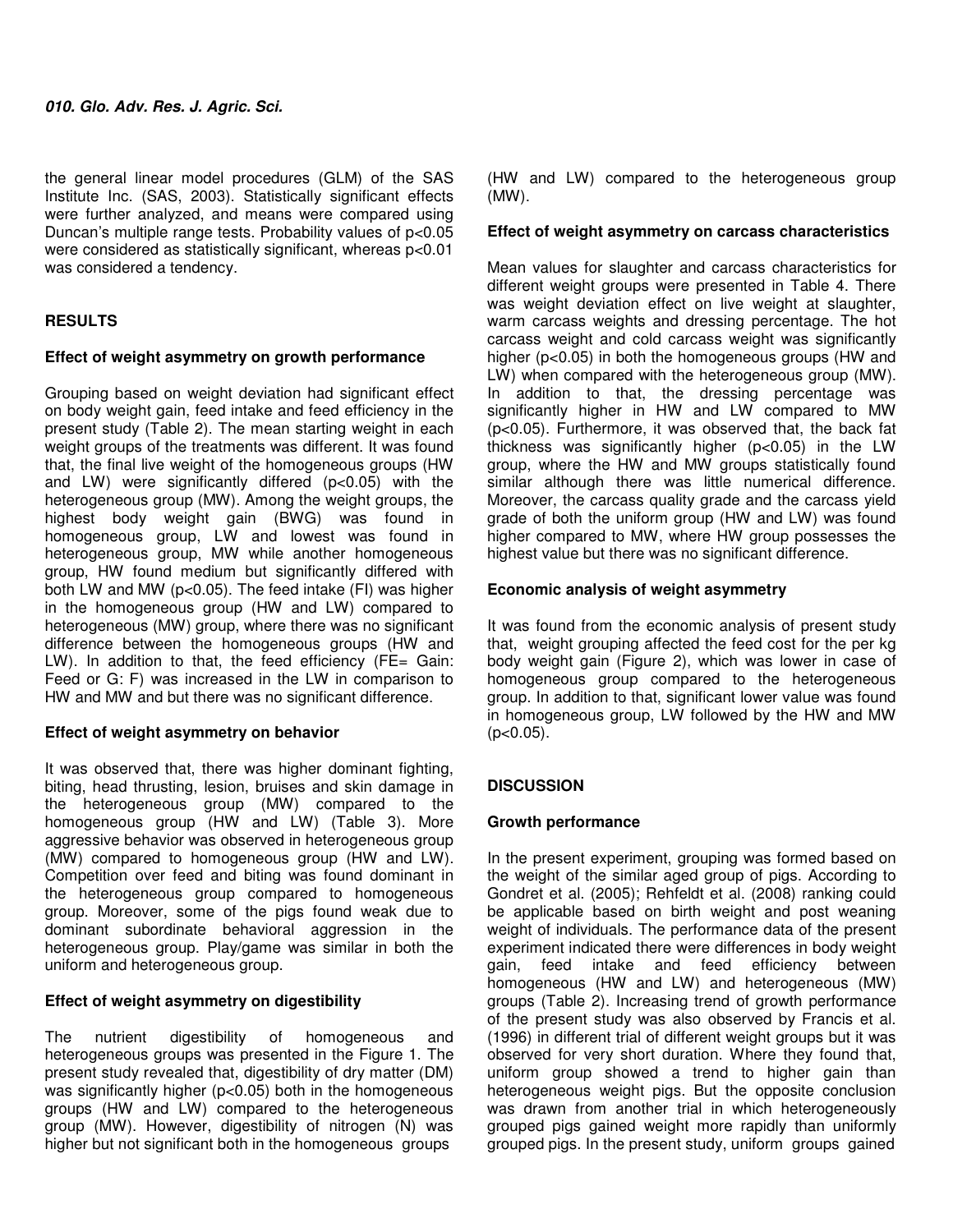the general linear model procedures (GLM) of the SAS Institute Inc. (SAS, 2003). Statistically significant effects were further analyzed, and means were compared using Duncan's multiple range tests. Probability values of p<0.05 were considered as statistically significant, whereas p<0.01 was considered a tendency.

# **RESULTS**

# **Effect of weight asymmetry on growth performance**

Grouping based on weight deviation had significant effect on body weight gain, feed intake and feed efficiency in the present study (Table 2). The mean starting weight in each weight groups of the treatments was different. It was found that, the final live weight of the homogeneous groups (HW and LW) were significantly differed (p<0.05) with the heterogeneous group (MW). Among the weight groups, the highest body weight gain (BWG) was found in homogeneous group, LW and lowest was found in heterogeneous group, MW while another homogeneous group, HW found medium but significantly differed with both LW and MW (p<0.05). The feed intake (FI) was higher in the homogeneous group (HW and LW) compared to heterogeneous (MW) group, where there was no significant difference between the homogeneous groups (HW and LW). In addition to that, the feed efficiency (FE= Gain: Feed or G: F) was increased in the LW in comparison to HW and MW and but there was no significant difference.

# **Effect of weight asymmetry on behavior**

It was observed that, there was higher dominant fighting, biting, head thrusting, lesion, bruises and skin damage in the heterogeneous group (MW) compared to the homogeneous group (HW and LW) (Table 3). More aggressive behavior was observed in heterogeneous group (MW) compared to homogeneous group (HW and LW). Competition over feed and biting was found dominant in the heterogeneous group compared to homogeneous group. Moreover, some of the pigs found weak due to dominant subordinate behavioral aggression in the heterogeneous group. Play/game was similar in both the uniform and heterogeneous group.

# **Effect of weight asymmetry on digestibility**

The nutrient digestibility of homogeneous and heterogeneous groups was presented in the Figure 1. The present study revealed that, digestibility of dry matter (DM) was significantly higher (p<0.05) both in the homogeneous groups (HW and LW) compared to the heterogeneous group (MW). However, digestibility of nitrogen (N) was higher but not significant both in the homogeneous groups

(HW and LW) compared to the heterogeneous group (MW).

## **Effect of weight asymmetry on carcass characteristics**

Mean values for slaughter and carcass characteristics for different weight groups were presented in Table 4. There was weight deviation effect on live weight at slaughter, warm carcass weights and dressing percentage. The hot carcass weight and cold carcass weight was significantly higher (p<0.05) in both the homogeneous groups (HW and LW) when compared with the heterogeneous group (MW). In addition to that, the dressing percentage was significantly higher in HW and LW compared to MW (p<0.05). Furthermore, it was observed that, the back fat thickness was significantly higher (p<0.05) in the LW group, where the HW and MW groups statistically found similar although there was little numerical difference. Moreover, the carcass quality grade and the carcass yield grade of both the uniform group (HW and LW) was found higher compared to MW, where HW group possesses the highest value but there was no significant difference.

# **Economic analysis of weight asymmetry**

It was found from the economic analysis of present study that, weight grouping affected the feed cost for the per kg body weight gain (Figure 2), which was lower in case of homogeneous group compared to the heterogeneous group. In addition to that, significant lower value was found in homogeneous group, LW followed by the HW and MW  $(p<0.05)$ .

# **DISCUSSION**

# **Growth performance**

In the present experiment, grouping was formed based on the weight of the similar aged group of pigs. According to Gondret et al. (2005); Rehfeldt et al. (2008) ranking could be applicable based on birth weight and post weaning weight of individuals. The performance data of the present experiment indicated there were differences in body weight gain, feed intake and feed efficiency between homogeneous (HW and LW) and heterogeneous (MW) groups (Table 2). Increasing trend of growth performance of the present study was also observed by Francis et al. (1996) in different trial of different weight groups but it was observed for very short duration. Where they found that, uniform group showed a trend to higher gain than heterogeneous weight pigs. But the opposite conclusion was drawn from another trial in which heterogeneously grouped pigs gained weight more rapidly than uniformly grouped pigs. In the present study, uniform groups gained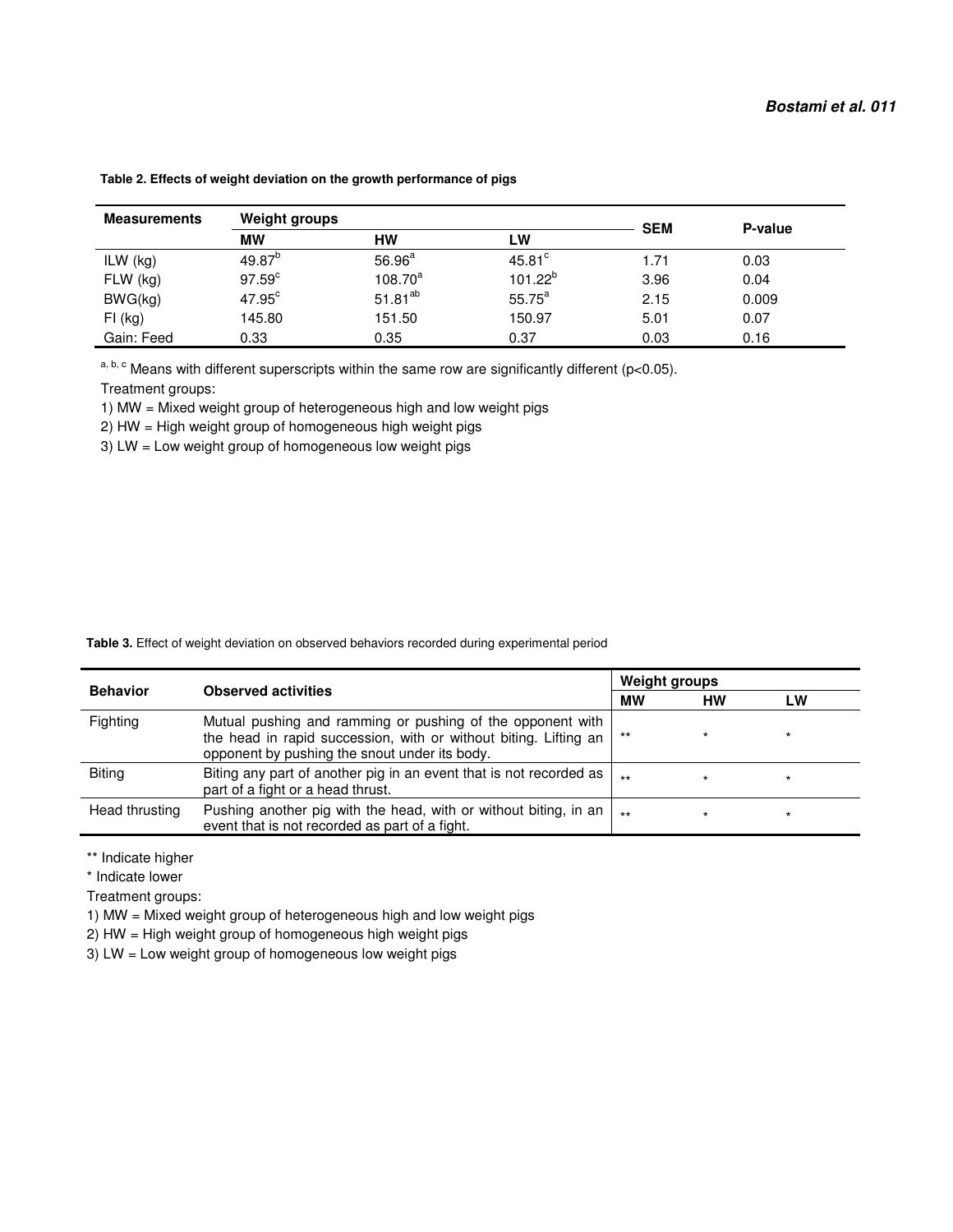| <b>Measurements</b> | <b>Weight groups</b> |              |                 | <b>SEM</b> | P-value |
|---------------------|----------------------|--------------|-----------------|------------|---------|
|                     | <b>MW</b>            | НW           | <b>LW</b>       |            |         |
| ILW $(kg)$          | $49.87^{\circ}$      | $56.96^a$    | $45.81^{\circ}$ | 1.71       | 0.03    |
| $FLW$ (kg)          | $97.59^{\circ}$      | $108.70^a$   | $101.22^{b}$    | 3.96       | 0.04    |
| BWG(kg)             | $47.95^{\circ}$      | $51.81^{ab}$ | $55.75^a$       | 2.15       | 0.009   |
| $FI$ (kg)           | 145.80               | 151.50       | 150.97          | 5.01       | 0.07    |
| Gain: Feed          | 0.33                 | 0.35         | 0.37            | 0.03       | 0.16    |

 **Table 2. Effects of weight deviation on the growth performance of pigs** 

a, b, c Means with different superscripts within the same row are significantly different (p<0.05).

Treatment groups:

1) MW = Mixed weight group of heterogeneous high and low weight pigs

2) HW = High weight group of homogeneous high weight pigs

3) LW = Low weight group of homogeneous low weight pigs

|  | <b>Table 3.</b> Effect of weight deviation on observed behaviors recorded during experimental period |
|--|------------------------------------------------------------------------------------------------------|
|--|------------------------------------------------------------------------------------------------------|

| <b>Behavior</b><br><b>Observed activities</b> |                                                                                                                                                                                 | <b>Weight groups</b> |           |         |
|-----------------------------------------------|---------------------------------------------------------------------------------------------------------------------------------------------------------------------------------|----------------------|-----------|---------|
|                                               |                                                                                                                                                                                 | МW                   | <b>HW</b> | LW      |
| Fighting                                      | Mutual pushing and ramming or pushing of the opponent with<br>the head in rapid succession, with or without biting. Lifting an<br>opponent by pushing the snout under its body. | $***$                |           | $\star$ |
| <b>Biting</b>                                 | Biting any part of another pig in an event that is not recorded as  <br>part of a fight or a head thrust.                                                                       | $++$                 |           | *       |
| Head thrusting                                | Pushing another pig with the head, with or without biting, in an<br>event that is not recorded as part of a fight.                                                              | $***$                | $\star$   | $\star$ |

\*\* Indicate higher

\* Indicate lower

Treatment groups:

1) MW = Mixed weight group of heterogeneous high and low weight pigs

2) HW = High weight group of homogeneous high weight pigs

3) LW = Low weight group of homogeneous low weight pigs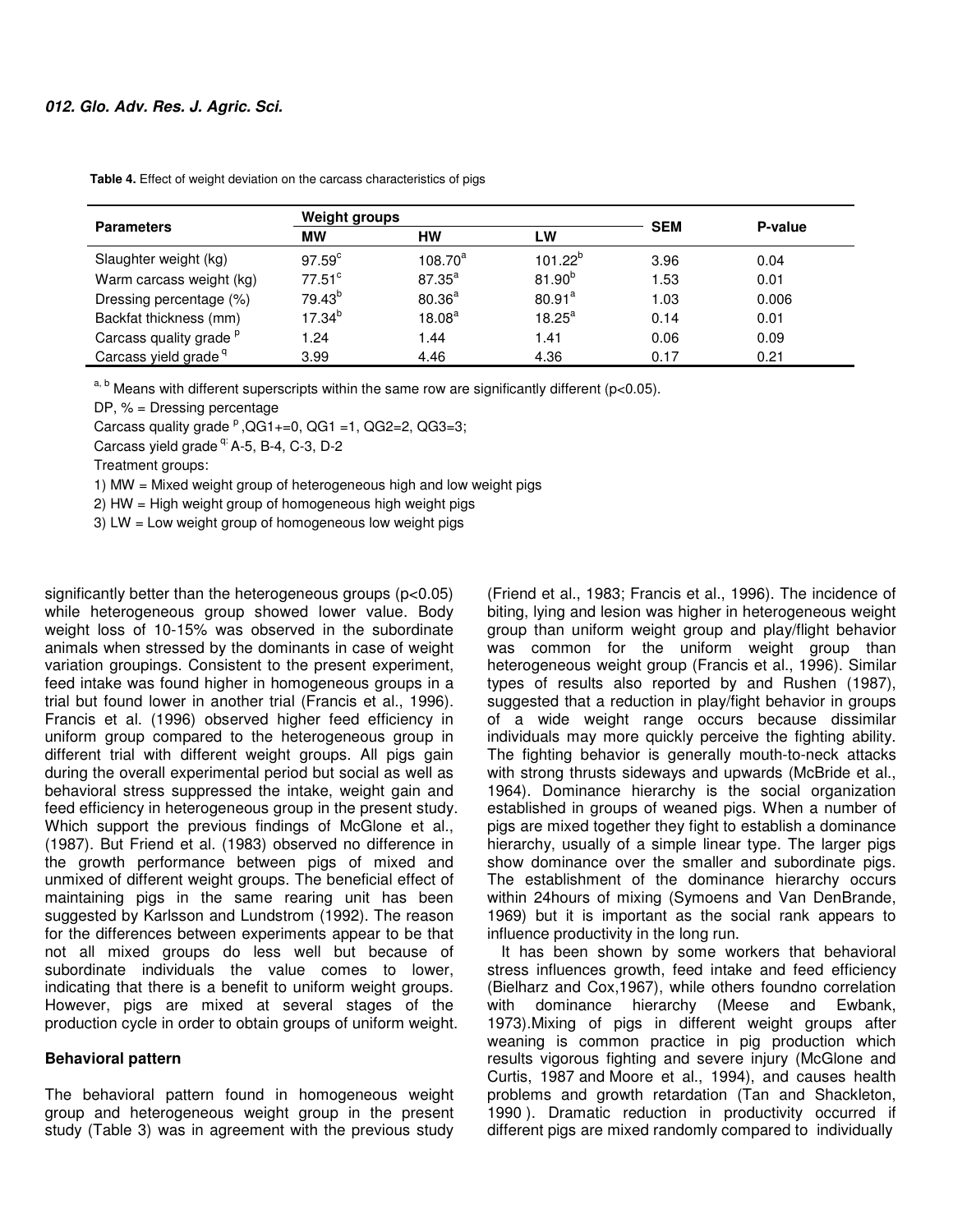|                                    | <b>Weight groups</b> |                    |                    |            |         |  |
|------------------------------------|----------------------|--------------------|--------------------|------------|---------|--|
| Parameters                         | МW                   | нw                 | LW                 | <b>SEM</b> | P-value |  |
| Slaughter weight (kg)              | $97.59^{\circ}$      | $108.70^a$         | $101.22^{b}$       | 3.96       | 0.04    |  |
| Warm carcass weight (kg)           | $77.51$ <sup>c</sup> | $87.35^{a}$        | $81.90^{b}$        | 1.53       | 0.01    |  |
| Dressing percentage (%)            | $79.43^{b}$          | $80.36^{a}$        | 80.91 <sup>a</sup> | 1.03       | 0.006   |  |
| Backfat thickness (mm)             | $17.34^{b}$          | 18.08 <sup>a</sup> | $18.25^{\text{a}}$ | 0.14       | 0.01    |  |
| Carcass quality grade <sup>p</sup> | 1.24                 | 1.44               | 1.41               | 0.06       | 0.09    |  |
| Carcass yield grade <sup>q</sup>   | 3.99                 | 4.46               | 4.36               | 0.17       | 0.21    |  |

 **Table 4.** Effect of weight deviation on the carcass characteristics of pigs

 $a, b$  Means with different superscripts within the same row are significantly different (p<0.05).

DP,  $% =$  Dressing percentage

Carcass quality grade  $P$ , QG1+=0, QG1 =1, QG2=2, QG3=3;

Carcass yield grade <sup>q:</sup> A-5, B-4, C-3, D-2

Treatment groups:

1) MW = Mixed weight group of heterogeneous high and low weight pigs

2) HW = High weight group of homogeneous high weight pigs

3) LW = Low weight group of homogeneous low weight pigs

significantly better than the heterogeneous groups (p<0.05) while heterogeneous group showed lower value. Body weight loss of 10-15% was observed in the subordinate animals when stressed by the dominants in case of weight variation groupings. Consistent to the present experiment, feed intake was found higher in homogeneous groups in a trial but found lower in another trial (Francis et al., 1996). Francis et al. (1996) observed higher feed efficiency in uniform group compared to the heterogeneous group in different trial with different weight groups. All pigs gain during the overall experimental period but social as well as behavioral stress suppressed the intake, weight gain and feed efficiency in heterogeneous group in the present study. Which support the previous findings of McGlone et al., (1987). But Friend et al. (1983) observed no difference in the growth performance between pigs of mixed and unmixed of different weight groups. The beneficial effect of maintaining pigs in the same rearing unit has been suggested by Karlsson and Lundstrom (1992). The reason for the differences between experiments appear to be that not all mixed groups do less well but because of subordinate individuals the value comes to lower, indicating that there is a benefit to uniform weight groups. However, pigs are mixed at several stages of the production cycle in order to obtain groups of uniform weight.

#### **Behavioral pattern**

The behavioral pattern found in homogeneous weight group and heterogeneous weight group in the present study (Table 3) was in agreement with the previous study

(Friend et al., 1983; Francis et al., 1996). The incidence of biting, lying and lesion was higher in heterogeneous weight group than uniform weight group and play/flight behavior was common for the uniform weight group than heterogeneous weight group (Francis et al., 1996). Similar types of results also reported by and Rushen (1987), suggested that a reduction in play/fight behavior in groups of a wide weight range occurs because dissimilar individuals may more quickly perceive the fighting ability. The fighting behavior is generally mouth-to-neck attacks with strong thrusts sideways and upwards (McBride et al., 1964). Dominance hierarchy is the social organization established in groups of weaned pigs. When a number of pigs are mixed together they fight to establish a dominance hierarchy, usually of a simple linear type. The larger pigs show dominance over the smaller and subordinate pigs. The establishment of the dominance hierarchy occurs within 24hours of mixing (Symoens and Van DenBrande, 1969) but it is important as the social rank appears to influence productivity in the long run.

It has been shown by some workers that behavioral stress influences growth, feed intake and feed efficiency (Bielharz and Cox,1967), while others foundno correlation with dominance hierarchy (Meese and Ewbank, 1973).Mixing of pigs in different weight groups after weaning is common practice in pig production which results vigorous fighting and severe injury (McGlone and Curtis, 1987 and Moore et al., 1994), and causes health problems and growth retardation (Tan and Shackleton, 1990 ). Dramatic reduction in productivity occurred if different pigs are mixed randomly compared to individually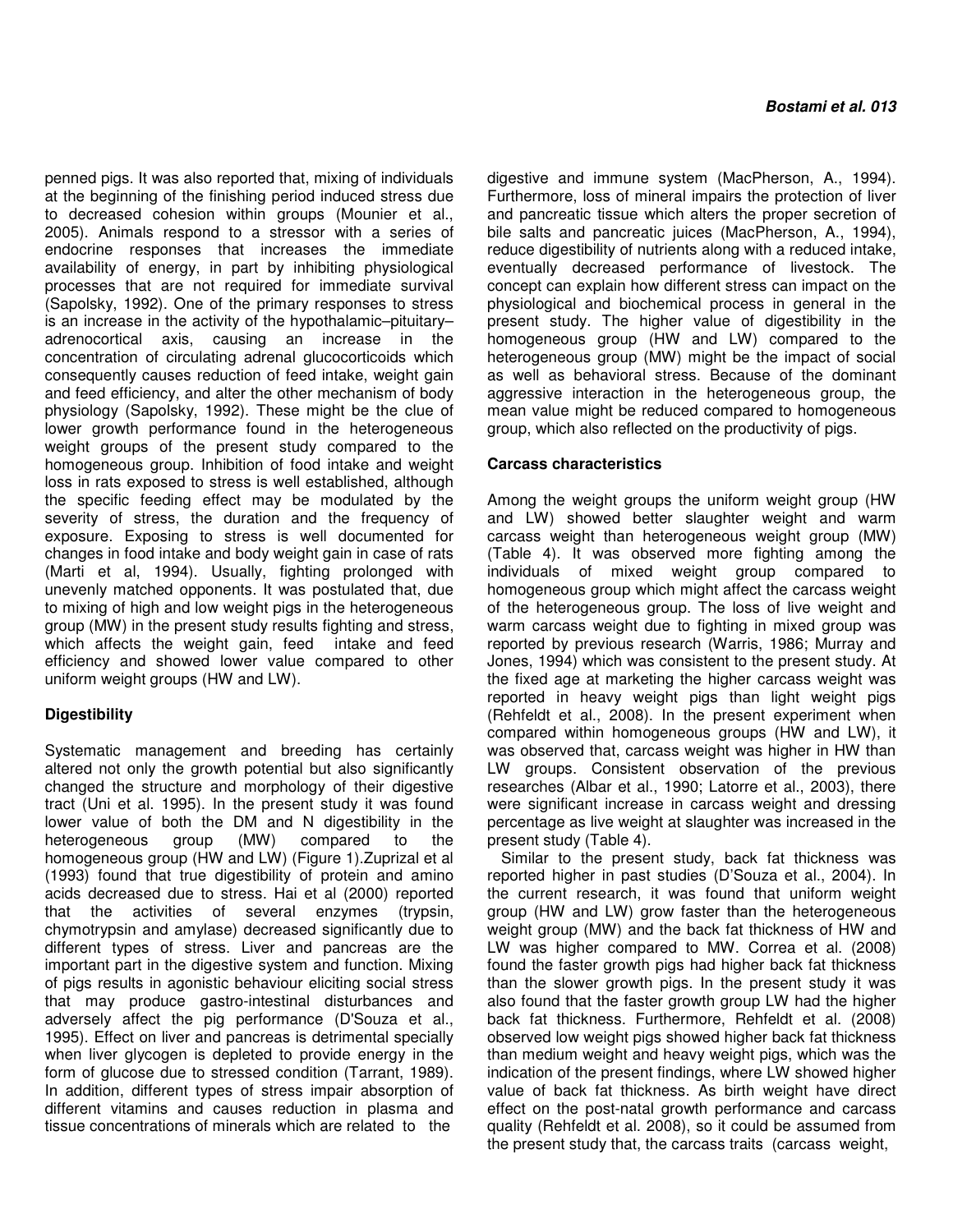penned pigs. It was also reported that, mixing of individuals at the beginning of the finishing period induced stress due to decreased cohesion within groups (Mounier et al., 2005). Animals respond to a stressor with a series of endocrine responses that increases the immediate availability of energy, in part by inhibiting physiological processes that are not required for immediate survival (Sapolsky, 1992). One of the primary responses to stress is an increase in the activity of the hypothalamic–pituitary– adrenocortical axis, causing an increase in the concentration of circulating adrenal glucocorticoids which consequently causes reduction of feed intake, weight gain and feed efficiency, and alter the other mechanism of body physiology (Sapolsky, 1992). These might be the clue of lower growth performance found in the heterogeneous weight groups of the present study compared to the homogeneous group. Inhibition of food intake and weight loss in rats exposed to stress is well established, although the specific feeding effect may be modulated by the severity of stress, the duration and the frequency of exposure. Exposing to stress is well documented for changes in food intake and body weight gain in case of rats (Marti et al, 1994). Usually, fighting prolonged with unevenly matched opponents. It was postulated that, due to mixing of high and low weight pigs in the heterogeneous group (MW) in the present study results fighting and stress, which affects the weight gain, feed intake and feed efficiency and showed lower value compared to other uniform weight groups (HW and LW).

# **Digestibility**

Systematic management and breeding has certainly altered not only the growth potential but also significantly changed the structure and morphology of their digestive tract (Uni et al. 1995). In the present study it was found lower value of both the DM and N digestibility in the heterogeneous group (MW) compared to the homogeneous group (HW and LW) (Figure 1).Zuprizal et al (1993) found that true digestibility of protein and amino acids decreased due to stress. Hai et al (2000) reported that the activities of several enzymes (trypsin, chymotrypsin and amylase) decreased significantly due to different types of stress. Liver and pancreas are the important part in the digestive system and function. Mixing of pigs results in agonistic behaviour eliciting social stress that may produce gastro-intestinal disturbances and adversely affect the pig performance (D'Souza et al., 1995). Effect on liver and pancreas is detrimental specially when liver glycogen is depleted to provide energy in the form of glucose due to stressed condition (Tarrant, 1989). In addition, different types of stress impair absorption of different vitamins and causes reduction in plasma and tissue concentrations of minerals which are related to the

digestive and immune system (MacPherson, A., 1994). Furthermore, loss of mineral impairs the protection of liver and pancreatic tissue which alters the proper secretion of bile salts and pancreatic juices (MacPherson, A., 1994), reduce digestibility of nutrients along with a reduced intake, eventually decreased performance of livestock. The concept can explain how different stress can impact on the physiological and biochemical process in general in the present study. The higher value of digestibility in the homogeneous group (HW and LW) compared to the heterogeneous group (MW) might be the impact of social as well as behavioral stress. Because of the dominant aggressive interaction in the heterogeneous group, the mean value might be reduced compared to homogeneous group, which also reflected on the productivity of pigs.

## **Carcass characteristics**

Among the weight groups the uniform weight group (HW and LW) showed better slaughter weight and warm carcass weight than heterogeneous weight group (MW) (Table 4). It was observed more fighting among the individuals of mixed weight group compared to homogeneous group which might affect the carcass weight of the heterogeneous group. The loss of live weight and warm carcass weight due to fighting in mixed group was reported by previous research (Warris, 1986; Murray and Jones, 1994) which was consistent to the present study. At the fixed age at marketing the higher carcass weight was reported in heavy weight pigs than light weight pigs (Rehfeldt et al., 2008). In the present experiment when compared within homogeneous groups (HW and LW), it was observed that, carcass weight was higher in HW than LW groups. Consistent observation of the previous researches (Albar et al., 1990; Latorre et al., 2003), there were significant increase in carcass weight and dressing percentage as live weight at slaughter was increased in the present study (Table 4).

Similar to the present study, back fat thickness was reported higher in past studies (D'Souza et al., 2004). In the current research, it was found that uniform weight group (HW and LW) grow faster than the heterogeneous weight group (MW) and the back fat thickness of HW and LW was higher compared to MW. Correa et al. (2008) found the faster growth pigs had higher back fat thickness than the slower growth pigs. In the present study it was also found that the faster growth group LW had the higher back fat thickness. Furthermore, Rehfeldt et al. (2008) observed low weight pigs showed higher back fat thickness than medium weight and heavy weight pigs, which was the indication of the present findings, where LW showed higher value of back fat thickness. As birth weight have direct effect on the post-natal growth performance and carcass quality (Rehfeldt et al. 2008), so it could be assumed from the present study that, the carcass traits (carcass weight,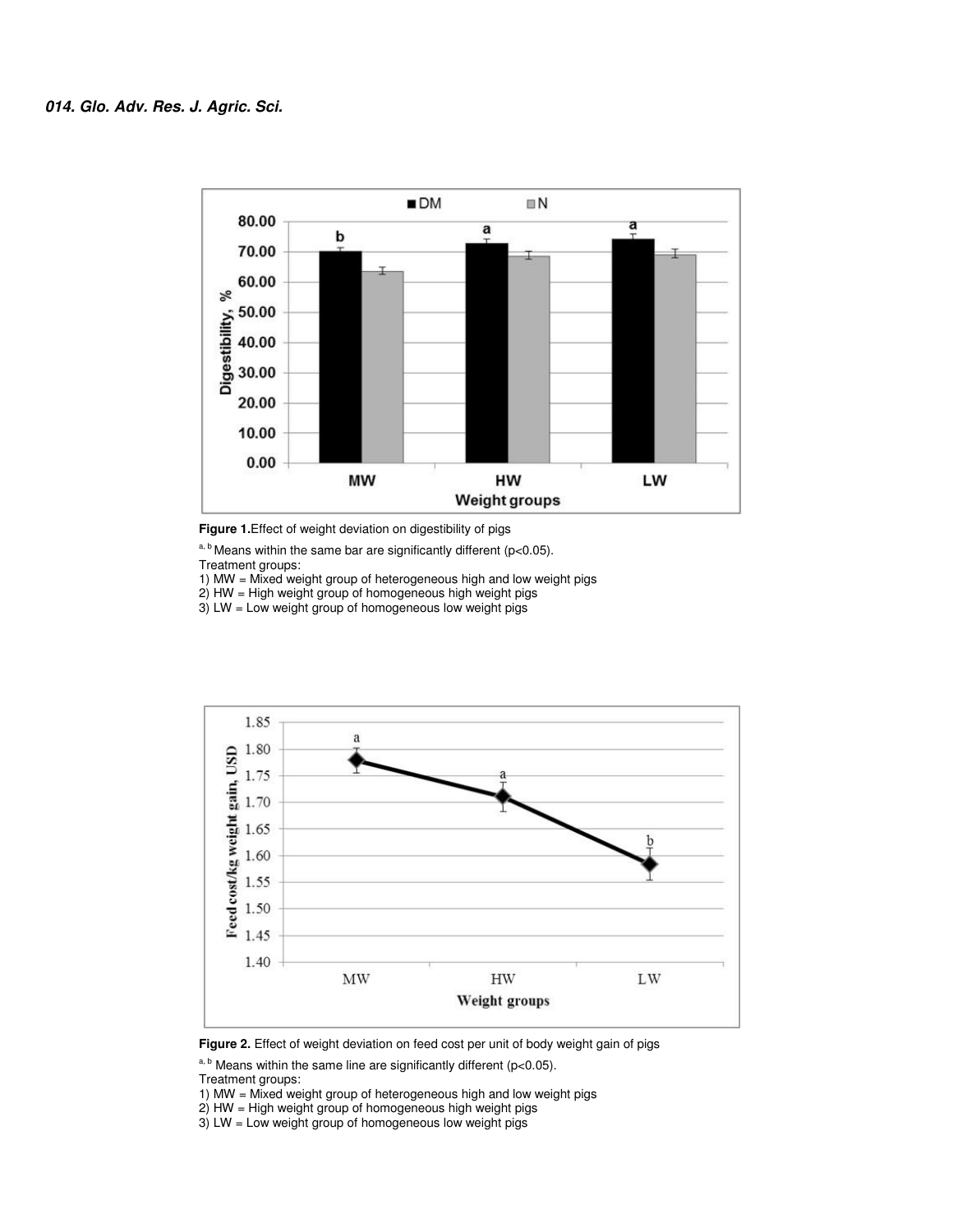

**Figure 1.**Effect of weight deviation on digestibility of pigs

 $a, b$  Means within the same bar are significantly different (p<0.05).

Treatment groups:

1) MW = Mixed weight group of heterogeneous high and low weight pigs

 $2)$  HW = High weight group of homogeneous high weight pigs

3) LW = Low weight group of homogeneous low weight pigs



Figure 2. Effect of weight deviation on feed cost per unit of body weight gain of pigs

 $a, b$  Means within the same line are significantly different (p<0.05).

Treatment groups:

1) MW = Mixed weight group of heterogeneous high and low weight pigs

2) HW = High weight group of homogeneous high weight pigs

3) LW = Low weight group of homogeneous low weight pigs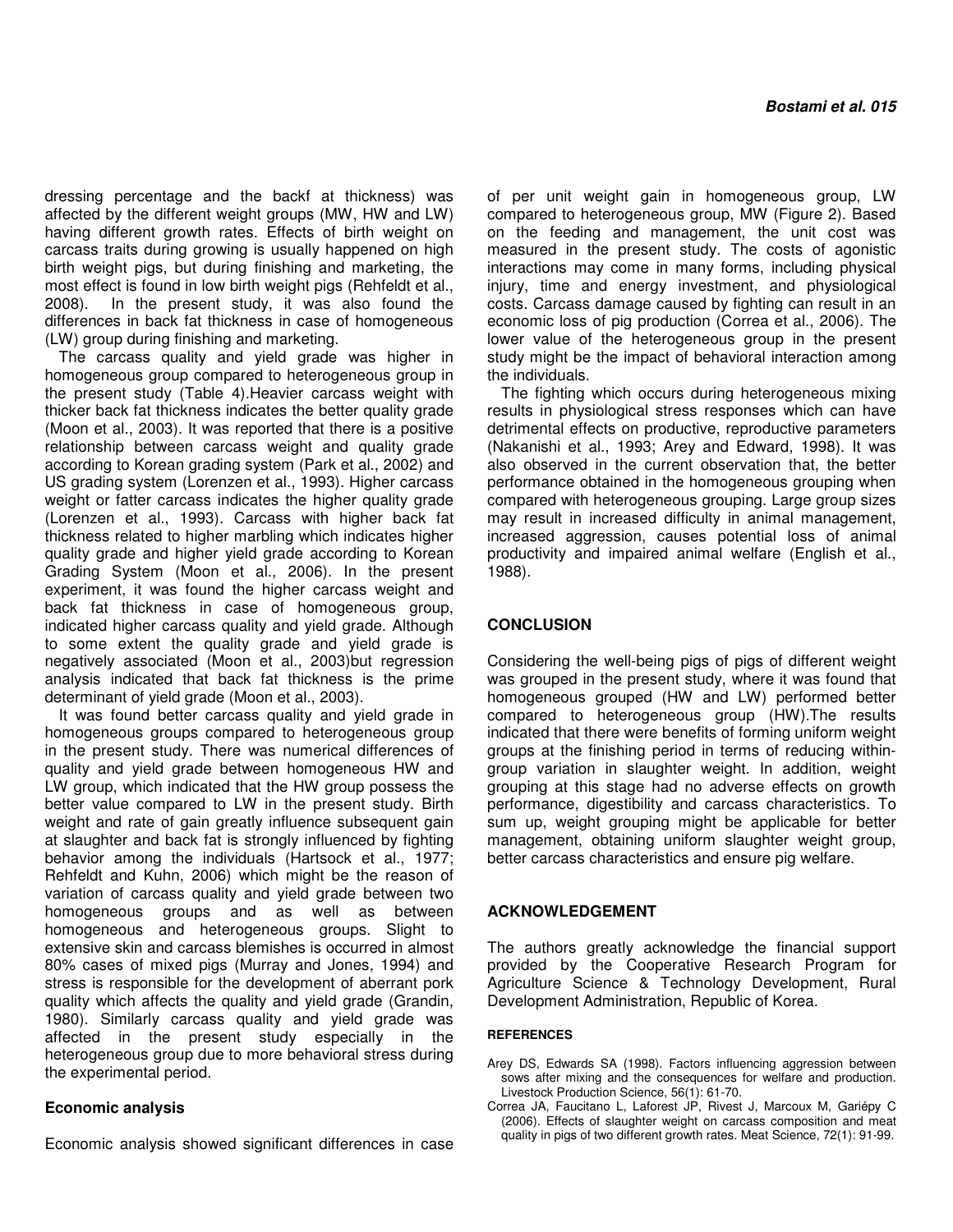dressing percentage and the backf at thickness) was affected by the different weight groups (MW, HW and LW) having different growth rates. Effects of birth weight on carcass traits during growing is usually happened on high birth weight pigs, but during finishing and marketing, the most effect is found in low birth weight pigs (Rehfeldt et al., 2008). In the present study, it was also found the differences in back fat thickness in case of homogeneous (LW) group during finishing and marketing.

The carcass quality and yield grade was higher in homogeneous group compared to heterogeneous group in the present study (Table 4).Heavier carcass weight with thicker back fat thickness indicates the better quality grade (Moon et al., 2003). It was reported that there is a positive relationship between carcass weight and quality grade according to Korean grading system (Park et al., 2002) and US grading system (Lorenzen et al., 1993). Higher carcass weight or fatter carcass indicates the higher quality grade (Lorenzen et al., 1993). Carcass with higher back fat thickness related to higher marbling which indicates higher quality grade and higher yield grade according to Korean Grading System (Moon et al., 2006). In the present experiment, it was found the higher carcass weight and back fat thickness in case of homogeneous group, indicated higher carcass quality and yield grade. Although to some extent the quality grade and yield grade is negatively associated (Moon et al., 2003)but regression analysis indicated that back fat thickness is the prime determinant of yield grade (Moon et al., 2003).

It was found better carcass quality and yield grade in homogeneous groups compared to heterogeneous group in the present study. There was numerical differences of quality and yield grade between homogeneous HW and LW group, which indicated that the HW group possess the better value compared to LW in the present study. Birth weight and rate of gain greatly influence subsequent gain at slaughter and back fat is strongly influenced by fighting behavior among the individuals (Hartsock et al., 1977; Rehfeldt and Kuhn, 2006) which might be the reason of variation of carcass quality and yield grade between two homogeneous groups and as well as between homogeneous and heterogeneous groups. Slight to extensive skin and carcass blemishes is occurred in almost 80% cases of mixed pigs (Murray and Jones, 1994) and stress is responsible for the development of aberrant pork quality which affects the quality and yield grade (Grandin, 1980). Similarly carcass quality and yield grade was affected in the present study especially in the heterogeneous group due to more behavioral stress during the experimental period.

## **Economic analysis**

Economic analysis showed significant differences in case

of per unit weight gain in homogeneous group, LW compared to heterogeneous group, MW (Figure 2). Based on the feeding and management, the unit cost was measured in the present study. The costs of agonistic interactions may come in many forms, including physical injury, time and energy investment, and physiological costs. Carcass damage caused by fighting can result in an economic loss of pig production (Correa et al., 2006). The lower value of the heterogeneous group in the present study might be the impact of behavioral interaction among the individuals.

The fighting which occurs during heterogeneous mixing results in physiological stress responses which can have detrimental effects on productive, reproductive parameters (Nakanishi et al., 1993; Arey and Edward, 1998). It was also observed in the current observation that, the better performance obtained in the homogeneous grouping when compared with heterogeneous grouping. Large group sizes may result in increased difficulty in animal management, increased aggression, causes potential loss of animal productivity and impaired animal welfare (English et al., 1988).

## **CONCLUSION**

Considering the well-being pigs of pigs of different weight was grouped in the present study, where it was found that homogeneous grouped (HW and LW) performed better compared to heterogeneous group (HW).The results indicated that there were benefits of forming uniform weight groups at the finishing period in terms of reducing withingroup variation in slaughter weight. In addition, weight grouping at this stage had no adverse effects on growth performance, digestibility and carcass characteristics. To sum up, weight grouping might be applicable for better management, obtaining uniform slaughter weight group, better carcass characteristics and ensure pig welfare.

#### **ACKNOWLEDGEMENT**

The authors greatly acknowledge the financial support provided by the Cooperative Research Program for Agriculture Science & Technology Development, Rural Development Administration, Republic of Korea.

#### **REFERENCES**

- Arey DS, Edwards SA (1998). Factors influencing aggression between sows after mixing and the consequences for welfare and production. Livestock Production Science, 56(1): 61-70.
- Correa JA, Faucitano L, Laforest JP, Rivest J, Marcoux M, Gariépy C (2006). Effects of slaughter weight on carcass composition and meat quality in pigs of two different growth rates. Meat Science, 72(1): 91-99.